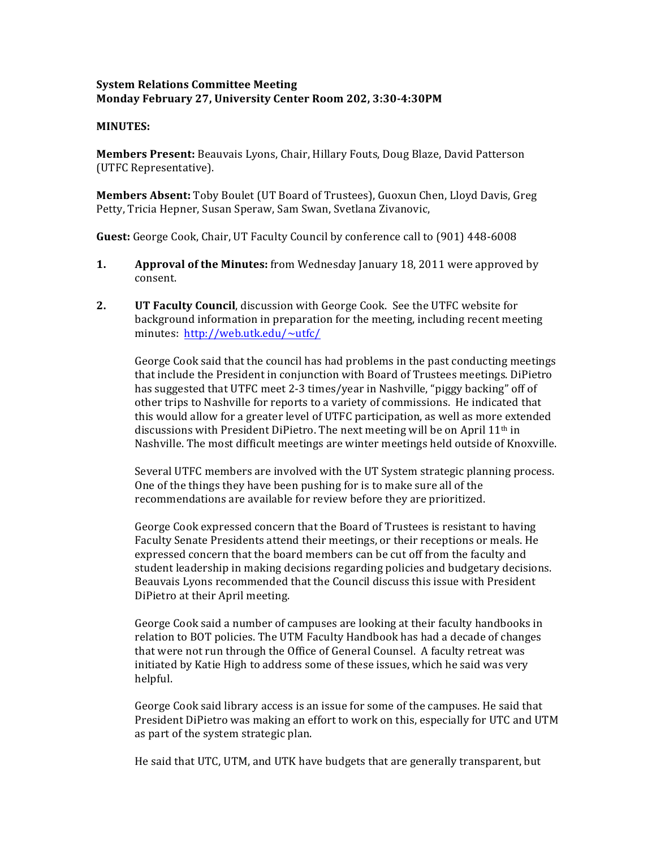## **System Relations Committee Meeting Monday February'27,'University'Center'Room'202,'3:30>4:30PM**

## **MINUTES:**

**Members Present:** Beauvais Lyons, Chair, Hillary Fouts, Doug Blaze, David Patterson (UTFC Representative).

**Members Absent:** Toby Boulet (UT Board of Trustees), Guoxun Chen, Lloyd Davis, Greg Petty, Tricia Hepner, Susan Speraw, Sam Swan, Svetlana Zivanovic,

**Guest:** George Cook, Chair, UT Faculty Council by conference call to (901) 448-6008

- **1. Approval of the Minutes:** from Wednesday January 18, 2011 were approved by consent.
- **2. UT Faculty Council**, discussion with George Cook. See the UTFC website for background information in preparation for the meeting, including recent meeting minutes: http://web.utk.edu/~utfc/

George Cook said that the council has had problems in the past conducting meetings that include the President in conjunction with Board of Trustees meetings. DiPietro has suggested that UTFC meet 2-3 times/year in Nashville, "piggy backing" off of other trips to Nashville for reports to a variety of commissions. He indicated that this would allow for a greater level of UTFC participation, as well as more extended discussions with President DiPietro. The next meeting will be on April 11<sup>th</sup> in Nashville. The most difficult meetings are winter meetings held outside of Knoxville.

Several UTFC members are involved with the UT System strategic planning process. One of the things they have been pushing for is to make sure all of the recommendations are available for review before they are prioritized.

George Cook expressed concern that the Board of Trustees is resistant to having Faculty Senate Presidents attend their meetings, or their receptions or meals. He expressed concern that the board members can be cut off from the faculty and student leadership in making decisions regarding policies and budgetary decisions. Beauvais Lyons recommended that the Council discuss this issue with President DiPietro at their April meeting.

George Cook said a number of campuses are looking at their faculty handbooks in relation to BOT policies. The UTM Faculty Handbook has had a decade of changes that were not run through the Office of General Counsel. A faculty retreat was initiated by Katie High to address some of these issues, which he said was very helpful.

George Cook said library access is an issue for some of the campuses. He said that President DiPietro was making an effort to work on this, especially for UTC and UTM as part of the system strategic plan.

He said that UTC, UTM, and UTK have budgets that are generally transparent, but